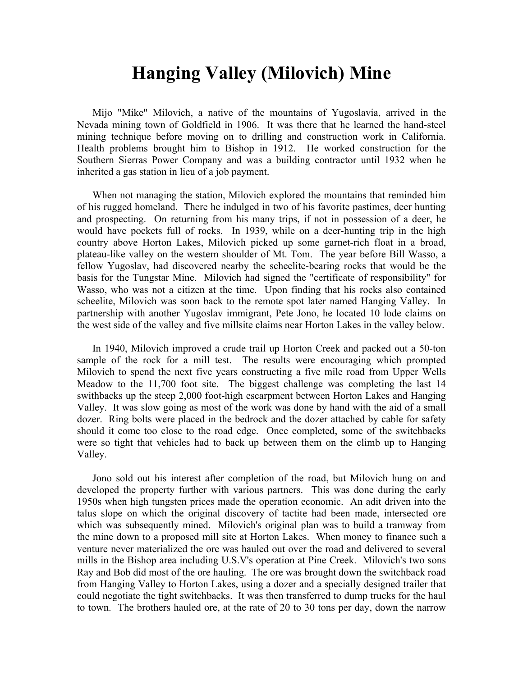## **Hanging Valley (Milovich) Mine**

Mijo "Mike" Milovich, a native of the mountains of Yugoslavia, arrived in the Nevada mining town of Goldfield in 1906. It was there that he learned the hand-steel mining technique before moving on to drilling and construction work in California. Health problems brought him to Bishop in 1912. He worked construction for the Southern Sierras Power Company and was a building contractor until 1932 when he inherited a gas station in lieu of a job payment.

When not managing the station, Milovich explored the mountains that reminded him of his rugged homeland. There he indulged in two of his favorite pastimes, deer hunting and prospecting. On returning from his many trips, if not in possession of a deer, he would have pockets full of rocks. In 1939, while on a deer-hunting trip in the high country above Horton Lakes, Milovich picked up some garnet-rich float in a broad, plateau-like valley on the western shoulder of Mt. Tom. The year before Bill Wasso, a fellow Yugoslav, had discovered nearby the scheelite-bearing rocks that would be the basis for the Tungstar Mine. Milovich had signed the "certificate of responsibility" for Wasso, who was not a citizen at the time. Upon finding that his rocks also contained scheelite, Milovich was soon back to the remote spot later named Hanging Valley. In partnership with another Yugoslav immigrant, Pete Jono, he located 10 lode claims on the west side of the valley and five millsite claims near Horton Lakes in the valley below.

In 1940, Milovich improved a crude trail up Horton Creek and packed out a 50-ton sample of the rock for a mill test. The results were encouraging which prompted Milovich to spend the next five years constructing a five mile road from Upper Wells Meadow to the 11,700 foot site. The biggest challenge was completing the last 14 swithbacks up the steep 2,000 foot-high escarpment between Horton Lakes and Hanging Valley. It was slow going as most of the work was done by hand with the aid of a small dozer. Ring bolts were placed in the bedrock and the dozer attached by cable for safety should it come too close to the road edge. Once completed, some of the switchbacks were so tight that vehicles had to back up between them on the climb up to Hanging Valley.

Jono sold out his interest after completion of the road, but Milovich hung on and developed the property further with various partners. This was done during the early 1950s when high tungsten prices made the operation economic. An adit driven into the talus slope on which the original discovery of tactite had been made, intersected ore which was subsequently mined. Milovich's original plan was to build a tramway from the mine down to a proposed mill site at Horton Lakes. When money to finance such a venture never materialized the ore was hauled out over the road and delivered to several mills in the Bishop area including U.S.V's operation at Pine Creek. Milovich's two sons Ray and Bob did most of the ore hauling. The ore was brought down the switchback road from Hanging Valley to Horton Lakes, using a dozer and a specially designed trailer that could negotiate the tight switchbacks. It was then transferred to dump trucks for the haul to town. The brothers hauled ore, at the rate of 20 to 30 tons per day, down the narrow